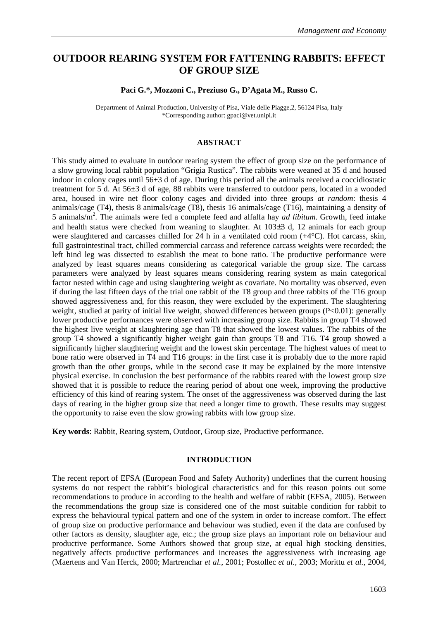# **OUTDOOR REARING SYSTEM FOR FATTENING RABBITS: EFFECT OF GROUP SIZE**

#### **Paci G.\*, Mozzoni C., Preziuso G., D'Agata M., Russo C.**

Department of Animal Production, University of Pisa, Viale delle Piagge,2, 56124 Pisa, Italy \*Corresponding author: gpaci@vet.unipi.it

#### **ABSTRACT**

This study aimed to evaluate in outdoor rearing system the effect of group size on the performance of a slow growing local rabbit population "Grigia Rustica". The rabbits were weaned at 35 d and housed indoor in colony cages until  $56\pm3$  d of age. During this period all the animals received a coccidiostatic treatment for 5 d. At 56±3 d of age, 88 rabbits were transferred to outdoor pens, located in a wooded area, housed in wire net floor colony cages and divided into three groups *at random*: thesis 4 animals/cage (T4), thesis 8 animals/cage (T8), thesis 16 animals/cage (T16), maintaining a density of 5 animals/m<sup>2</sup> . The animals were fed a complete feed and alfalfa hay *ad libitum*. Growth, feed intake and health status were checked from weaning to slaughter. At 103±3 d, 12 animals for each group were slaughtered and carcasses chilled for 24 h in a ventilated cold room (+4°C). Hot carcass, skin, full gastrointestinal tract, chilled commercial carcass and reference carcass weights were recorded; the left hind leg was dissected to establish the meat to bone ratio. The productive performance were analyzed by least squares means considering as categorical variable the group size. The carcass parameters were analyzed by least squares means considering rearing system as main categorical factor nested within cage and using slaughtering weight as covariate. No mortality was observed, even if during the last fifteen days of the trial one rabbit of the T8 group and three rabbits of the T16 group showed aggressiveness and, for this reason, they were excluded by the experiment. The slaughtering weight, studied at parity of initial live weight, showed differences between groups (P<0.01): generally lower productive performances were observed with increasing group size. Rabbits in group T4 showed the highest live weight at slaughtering age than T8 that showed the lowest values. The rabbits of the group T4 showed a significantly higher weight gain than groups T8 and T16. T4 group showed a significantly higher slaughtering weight and the lowest skin percentage. The highest values of meat to bone ratio were observed in T4 and T16 groups: in the first case it is probably due to the more rapid growth than the other groups, while in the second case it may be explained by the more intensive physical exercise. In conclusion the best performance of the rabbits reared with the lowest group size showed that it is possible to reduce the rearing period of about one week, improving the productive efficiency of this kind of rearing system. The onset of the aggressiveness was observed during the last days of rearing in the higher group size that need a longer time to growth. These results may suggest the opportunity to raise even the slow growing rabbits with low group size.

**Key words**: Rabbit, Rearing system, Outdoor, Group size, Productive performance.

### **INTRODUCTION**

The recent report of EFSA (European Food and Safety Authority) underlines that the current housing systems do not respect the rabbit's biological characteristics and for this reason points out some recommendations to produce in according to the health and welfare of rabbit (EFSA, 2005). Between the recommendations the group size is considered one of the most suitable condition for rabbit to express the behavioural typical pattern and one of the system in order to increase comfort. The effect of group size on productive performance and behaviour was studied, even if the data are confused by other factors as density, slaughter age, etc.; the group size plays an important role on behaviour and productive performance. Some Authors showed that group size, at equal high stocking densities, negatively affects productive performances and increases the aggressiveness with increasing age (Maertens and Van Herck, 2000; Martrenchar *et al.*, 2001; Postollec *et al.*, 2003; Morittu *et al.*, 2004,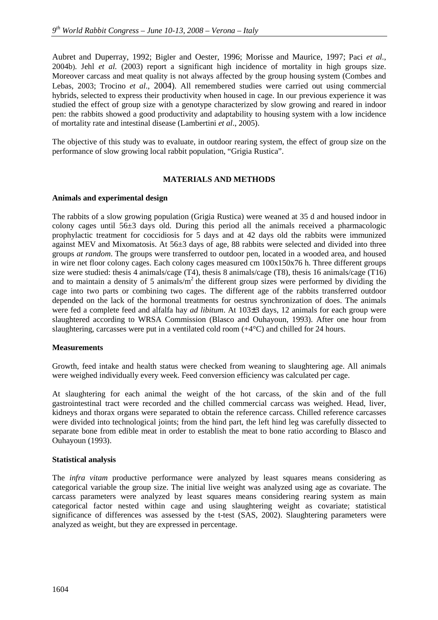Aubret and Duperray, 1992; Bigler and Oester, 1996; Morisse and Maurice, 1997; Paci *et al.*, 2004b). Jehl *et al.* (2003) report a significant high incidence of mortality in high groups size. Moreover carcass and meat quality is not always affected by the group housing system (Combes and Lebas, 2003; Trocino *et al*., 2004). All remembered studies were carried out using commercial hybrids, selected to express their productivity when housed in cage. In our previous experience it was studied the effect of group size with a genotype characterized by slow growing and reared in indoor pen: the rabbits showed a good productivity and adaptability to housing system with a low incidence of mortality rate and intestinal disease (Lambertini *et al*., 2005).

The objective of this study was to evaluate, in outdoor rearing system, the effect of group size on the performance of slow growing local rabbit population, "Grigia Rustica".

## **MATERIALS AND METHODS**

### **Animals and experimental design**

The rabbits of a slow growing population (Grigia Rustica) were weaned at 35 d and housed indoor in colony cages until 56±3 days old. During this period all the animals received a pharmacologic prophylactic treatment for coccidiosis for 5 days and at 42 days old the rabbits were immunized against MEV and Mixomatosis. At 56±3 days of age, 88 rabbits were selected and divided into three groups *at random*. The groups were transferred to outdoor pen, located in a wooded area, and housed in wire net floor colony cages. Each colony cages measured cm  $100x150x76$  h. Three different groups size were studied: thesis 4 animals/cage (T4), thesis 8 animals/cage (T8), thesis 16 animals/cage (T16) and to maintain a density of 5 animals/ $m<sup>2</sup>$  the different group sizes were performed by dividing the cage into two parts or combining two cages. The different age of the rabbits transferred outdoor depended on the lack of the hormonal treatments for oestrus synchronization of does. The animals were fed a complete feed and alfalfa hay *ad libitum*. At 103±3 days, 12 animals for each group were slaughtered according to WRSA Commission (Blasco and Ouhayoun, 1993). After one hour from slaughtering, carcasses were put in a ventilated cold room (+4°C) and chilled for 24 hours.

### **Measurements**

Growth, feed intake and health status were checked from weaning to slaughtering age. All animals were weighed individually every week. Feed conversion efficiency was calculated per cage.

At slaughtering for each animal the weight of the hot carcass, of the skin and of the full gastrointestinal tract were recorded and the chilled commercial carcass was weighed. Head, liver, kidneys and thorax organs were separated to obtain the reference carcass. Chilled reference carcasses were divided into technological joints; from the hind part, the left hind leg was carefully dissected to separate bone from edible meat in order to establish the meat to bone ratio according to Blasco and Ouhayoun (1993).

### **Statistical analysis**

The *infra vitam* productive performance were analyzed by least squares means considering as categorical variable the group size. The initial live weight was analyzed using age as covariate. The carcass parameters were analyzed by least squares means considering rearing system as main categorical factor nested within cage and using slaughtering weight as covariate; statistical significance of differences was assessed by the t-test (SAS, 2002). Slaughtering parameters were analyzed as weight, but they are expressed in percentage.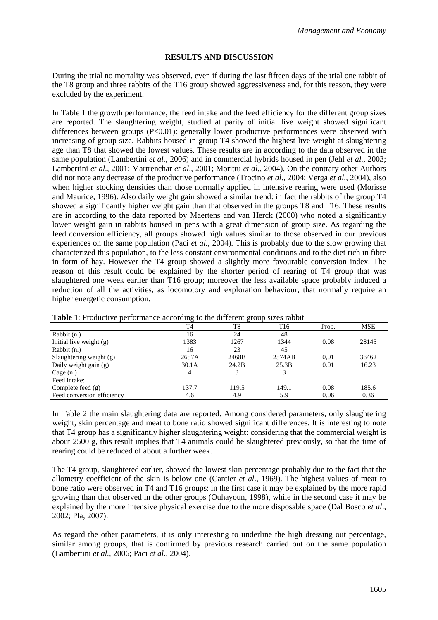### **RESULTS AND DISCUSSION**

During the trial no mortality was observed, even if during the last fifteen days of the trial one rabbit of the T8 group and three rabbits of the T16 group showed aggressiveness and, for this reason, they were excluded by the experiment.

In Table 1 the growth performance, the feed intake and the feed efficiency for the different group sizes are reported. The slaughtering weight, studied at parity of initial live weight showed significant differences between groups (P<0.01): generally lower productive performances were observed with increasing of group size. Rabbits housed in group T4 showed the highest live weight at slaughtering age than T8 that showed the lowest values. These results are in according to the data observed in the same population (Lambertini *et al.*, 2006) and in commercial hybrids housed in pen (Jehl *et al.,* 2003; Lambertini *et al*., 2001; Martrenchar *et al*., 2001; Morittu *et al.*, 2004). On the contrary other Authors did not note any decrease of the productive performance (Trocino *et al.*, 2004; Verga *et al.*, 2004), also when higher stocking densities than those normally applied in intensive rearing were used (Morisse and Maurice, 1996). Also daily weight gain showed a similar trend: in fact the rabbits of the group T4 showed a significantly higher weight gain than that observed in the groups T8 and T16. These results are in according to the data reported by Maertens and van Herck (2000) who noted a significantly lower weight gain in rabbits housed in pens with a great dimension of group size. As regarding the feed conversion efficiency, all groups showed high values similar to those observed in our previous experiences on the same population (Paci *et al.*, 2004). This is probably due to the slow growing that characterized this population, to the less constant environmental conditions and to the diet rich in fibre in form of hay. However the T4 group showed a slightly more favourable conversion index. The reason of this result could be explained by the shorter period of rearing of T4 group that was slaughtered one week earlier than T16 group; moreover the less available space probably induced a reduction of all the activities, as locomotory and exploration behaviour, that normally require an higher energetic consumption.

| <b>Table 1.</b> I found to performance according to the unferent group sizes faboli |                |       |        |       |       |  |  |  |
|-------------------------------------------------------------------------------------|----------------|-------|--------|-------|-------|--|--|--|
|                                                                                     | T <sub>4</sub> | T8    | T16    | Prob. | MSE   |  |  |  |
| Rabbit (n.)                                                                         | 16             | 24    | 48     |       |       |  |  |  |
| Initial live weight $(g)$                                                           | 1383           | 1267  | 1344   | 0.08  | 28145 |  |  |  |
| Rabbit (n.)                                                                         | 16             | 23    | 45     |       |       |  |  |  |
| Slaughtering weight $(g)$                                                           | 2657A          | 2468B | 2574AB | 0.01  | 36462 |  |  |  |
| Daily weight gain (g)                                                               | 30.1A          | 24.2B | 25.3B  | 0.01  | 16.23 |  |  |  |
| Cage $(n.)$                                                                         | 4              |       |        |       |       |  |  |  |
| Feed intake:                                                                        |                |       |        |       |       |  |  |  |
| Complete feed $(g)$                                                                 | 137.7          | 119.5 | 149.1  | 0.08  | 185.6 |  |  |  |
| Feed conversion efficiency                                                          | 4.6            | 4.9   | 5.9    | 0.06  | 0.36  |  |  |  |

**Table 1**: Productive performance according to the different group sizes rabbit

In Table 2 the main slaughtering data are reported. Among considered parameters, only slaughtering weight, skin percentage and meat to bone ratio showed significant differences. It is interesting to note that T4 group has a significantly higher slaughtering weight: considering that the commercial weight is about 2500 g, this result implies that T4 animals could be slaughtered previously, so that the time of rearing could be reduced of about a further week.

The T4 group, slaughtered earlier, showed the lowest skin percentage probably due to the fact that the allometry coefficient of the skin is below one (Cantier *et al*., 1969). The highest values of meat to bone ratio were observed in T4 and T16 groups: in the first case it may be explained by the more rapid growing than that observed in the other groups (Ouhayoun, 1998), while in the second case it may be explained by the more intensive physical exercise due to the more disposable space (Dal Bosco *et al*., 2002; Pla, 2007).

As regard the other parameters, it is only interesting to underline the high dressing out percentage, similar among groups, that is confirmed by previous research carried out on the same population (Lambertini *et al.*, 2006; Paci *et al.*, 2004).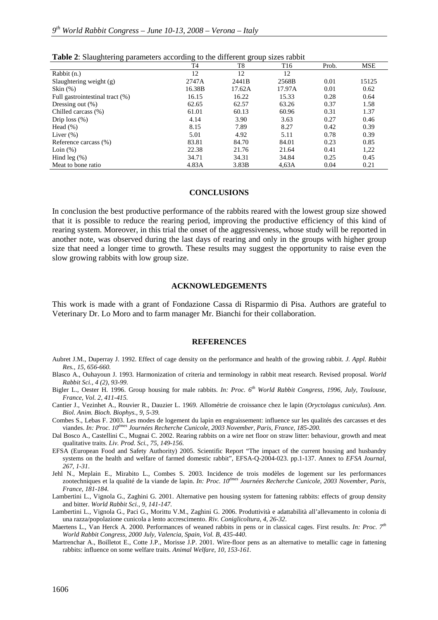| T <sub>4</sub> | T8     | T <sub>16</sub> | Prob. | <b>MSE</b> |
|----------------|--------|-----------------|-------|------------|
| 12             | 12     | 12              |       |            |
| 2747A          | 2441B  | 2568B           | 0.01  | 15125      |
| 16.38B         | 17.62A | 17.97A          | 0.01  | 0.62       |
| 16.15          | 16.22  | 15.33           | 0.28  | 0.64       |
| 62.65          | 62.57  | 63.26           | 0.37  | 1.58       |
| 61.01          | 60.13  | 60.96           | 0.31  | 1.37       |
| 4.14           | 3.90   | 3.63            | 0.27  | 0.46       |
| 8.15           | 7.89   | 8.27            | 0.42  | 0.39       |
| 5.01           | 4.92   | 5.11            | 0.78  | 0.39       |
| 83.81          | 84.70  | 84.01           | 0.23  | 0.85       |
| 22.38          | 21.76  | 21.64           | 0.41  | 1,22       |
| 34.71          | 34.31  | 34.84           | 0.25  | 0.45       |
| 4.83A          | 3.83B  | 4.63A           | 0.04  | 0.21       |
|                |        |                 |       |            |

| <b>Table 2:</b> Slaughtering parameters according to the different group sizes rabbit |  |  |
|---------------------------------------------------------------------------------------|--|--|
|                                                                                       |  |  |

#### **CONCLUSIONS**

In conclusion the best productive performance of the rabbits reared with the lowest group size showed that it is possible to reduce the rearing period, improving the productive efficiency of this kind of rearing system. Moreover, in this trial the onset of the aggressiveness, whose study will be reported in another note, was observed during the last days of rearing and only in the groups with higher group size that need a longer time to growth. These results may suggest the opportunity to raise even the slow growing rabbits with low group size.

#### **ACKNOWLEDGEMENTS**

This work is made with a grant of Fondazione Cassa di Risparmio di Pisa. Authors are grateful to Veterinary Dr. Lo Moro and to farm manager Mr. Bianchi for their collaboration.

#### **REFERENCES**

- Aubret J.M., Duperray J. 1992. Effect of cage density on the performance and health of the growing rabbit. *J. Appl. Rabbit Res., 15, 656-660.*
- Blasco A., Ouhayoun J. 1993. Harmonization of criteria and terminology in rabbit meat research. Revised proposal. *World Rabbit Sci., 4 (2), 93-99.*
- Bigler L., Oester H. 1996. Group housing for male rabbits. *In: Proc. 6th World Rabbit Congress, 1996, July, Toulouse, France, Vol. 2, 411-415.*
- Cantier J., Vezinhet A., Rouvier R., Dauzier L. 1969. Allométrie de croissance chez le lapin (*Oryctolagus cuniculus*). *Ann. Biol. Anim. Bioch. Biophys., 9, 5-39.*
- Combes S., Lebas F. 2003. Les modes de logement du lapin en engraissement: influence sur les qualités des carcasses et des viandes. *In: Proc. 10èmes Journées Recherche Cunicole, 2003 November, Paris, France, 185-200.*
- Dal Bosco A., Castellini C., Mugnai C. 2002. Rearing rabbits on a wire net floor on straw litter: behaviour, growth and meat qualitative traits. *Liv. Prod. Sci., 75, 149-156*.
- EFSA (European Food and Safety Authority) 2005. Scientific Report "The impact of the current housing and husbandry systems on the health and welfare of farmed domestic rabbit", EFSA-Q-2004-023. pp.1-137. Annex to *EFSA Journal, 267, 1-31*.
- Jehl N., Meplain E., Mirabito L., Combes S. 2003. Incidence de trois modèles de logement sur les performances zootechniques et la qualité de la viande de lapin. *In: Proc. 10émes Journées Recherche Cunicole, 2003 November, Paris, France, 181-184.*
- Lambertini L., Vignola G., Zaghini G. 2001. Alternative pen housing system for fattening rabbits: effects of group density and bitter. *World Rabbit Sci., 9, 141-147.*
- Lambertini L., Vignola G., Paci G., Morittu V.M., Zaghini G. 2006. Produttività e adattabilità all'allevamento in colonia di una razza/popolazione cunicola a lento accrescimento. *Riv. Coniglicoltura, 4, 26-32*.
- Maertens L., Van Herck A. 2000. Performances of weaned rabbits in pens or in classical cages. First results. *In: Proc. 7th World Rabbit Congress, 2000 July, Valencia, Spain, Vol. B, 435-440*.
- Martrenchar A., Boilletot E., Cotte J.P., Morisse J.P. 2001. Wire-floor pens as an alternative to metallic cage in fattening rabbits: influence on some welfare traits. *Animal Welfare, 10, 153-161.*